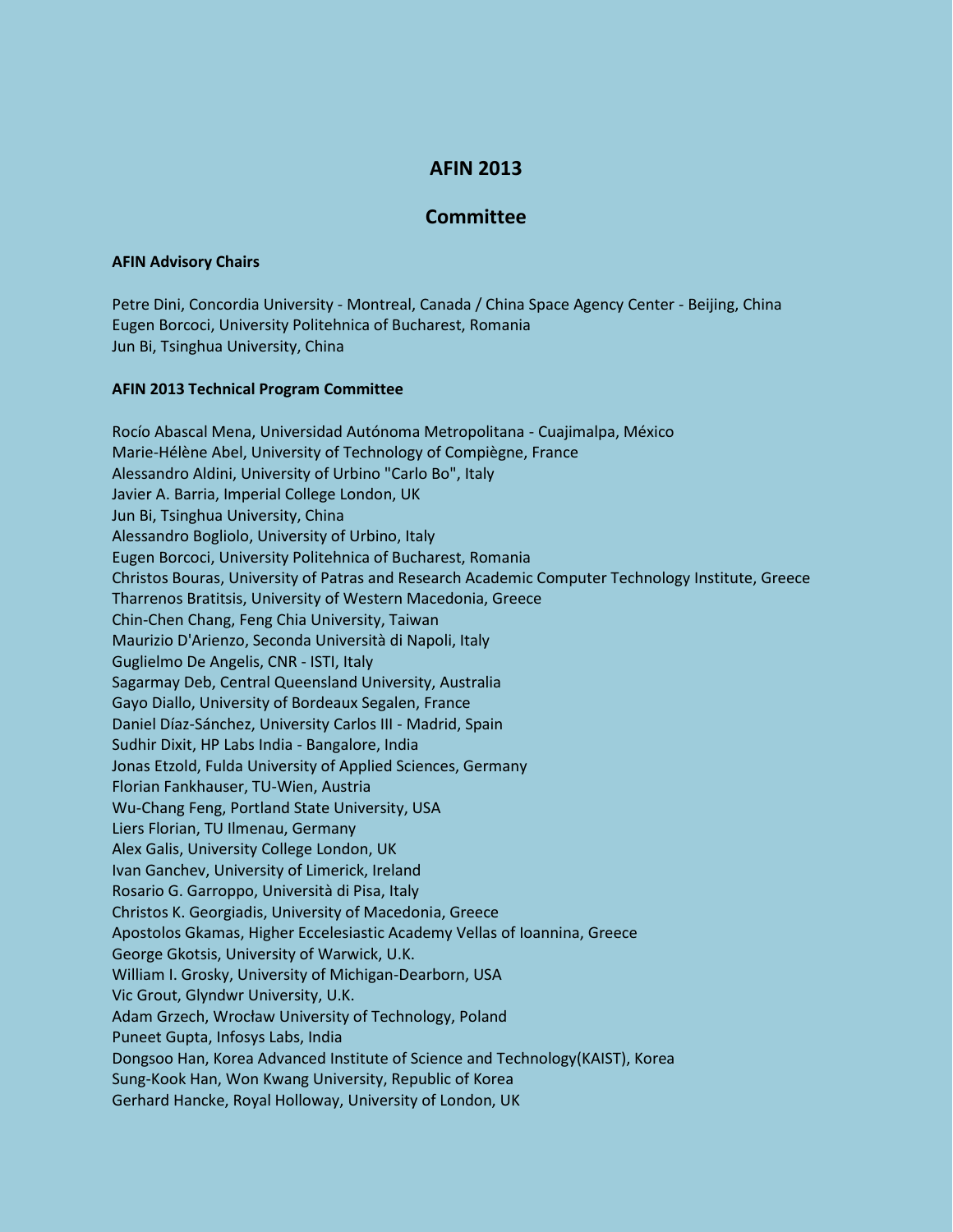## **AFIN 2013**

## **Committee**

## **AFIN Advisory Chairs**

Petre Dini, Concordia University - Montreal, Canada / China Space Agency Center - Beijing, China Eugen Borcoci, University Politehnica of Bucharest, Romania Jun Bi, Tsinghua University, China

## **AFIN 2013 Technical Program Committee**

Rocío Abascal Mena, Universidad Autónoma Metropolitana - Cuajimalpa, México Marie-Hélène Abel, University of Technology of Compiègne, France Alessandro Aldini, University of Urbino "Carlo Bo", Italy Javier A. Barria, Imperial College London, UK Jun Bi, Tsinghua University, China Alessandro Bogliolo, University of Urbino, Italy Eugen Borcoci, University Politehnica of Bucharest, Romania Christos Bouras, University of Patras and Research Academic Computer Technology Institute, Greece Tharrenos Bratitsis, University of Western Macedonia, Greece Chin-Chen Chang, Feng Chia University, Taiwan Maurizio D'Arienzo, Seconda Università di Napoli, Italy Guglielmo De Angelis, CNR - ISTI, Italy Sagarmay Deb, Central Queensland University, Australia Gayo Diallo, University of Bordeaux Segalen, France Daniel Díaz-Sánchez, University Carlos III - Madrid, Spain Sudhir Dixit, HP Labs India - Bangalore, India Jonas Etzold, Fulda University of Applied Sciences, Germany Florian Fankhauser, TU-Wien, Austria Wu-Chang Feng, Portland State University, USA Liers Florian, TU Ilmenau, Germany Alex Galis, University College London, UK Ivan Ganchev, University of Limerick, Ireland Rosario G. Garroppo, Università di Pisa, Italy Christos K. Georgiadis, University of Macedonia, Greece Apostolos Gkamas, Higher Eccelesiastic Academy Vellas of Ioannina, Greece George Gkotsis, University of Warwick, U.K. William I. Grosky, University of Michigan-Dearborn, USA Vic Grout, Glyndwr University, U.K. Adam Grzech, Wrocław University of Technology, Poland Puneet Gupta, Infosys Labs, India Dongsoo Han, Korea Advanced Institute of Science and Technology(KAIST), Korea Sung-Kook Han, Won Kwang University, Republic of Korea Gerhard Hancke, Royal Holloway, University of London, UK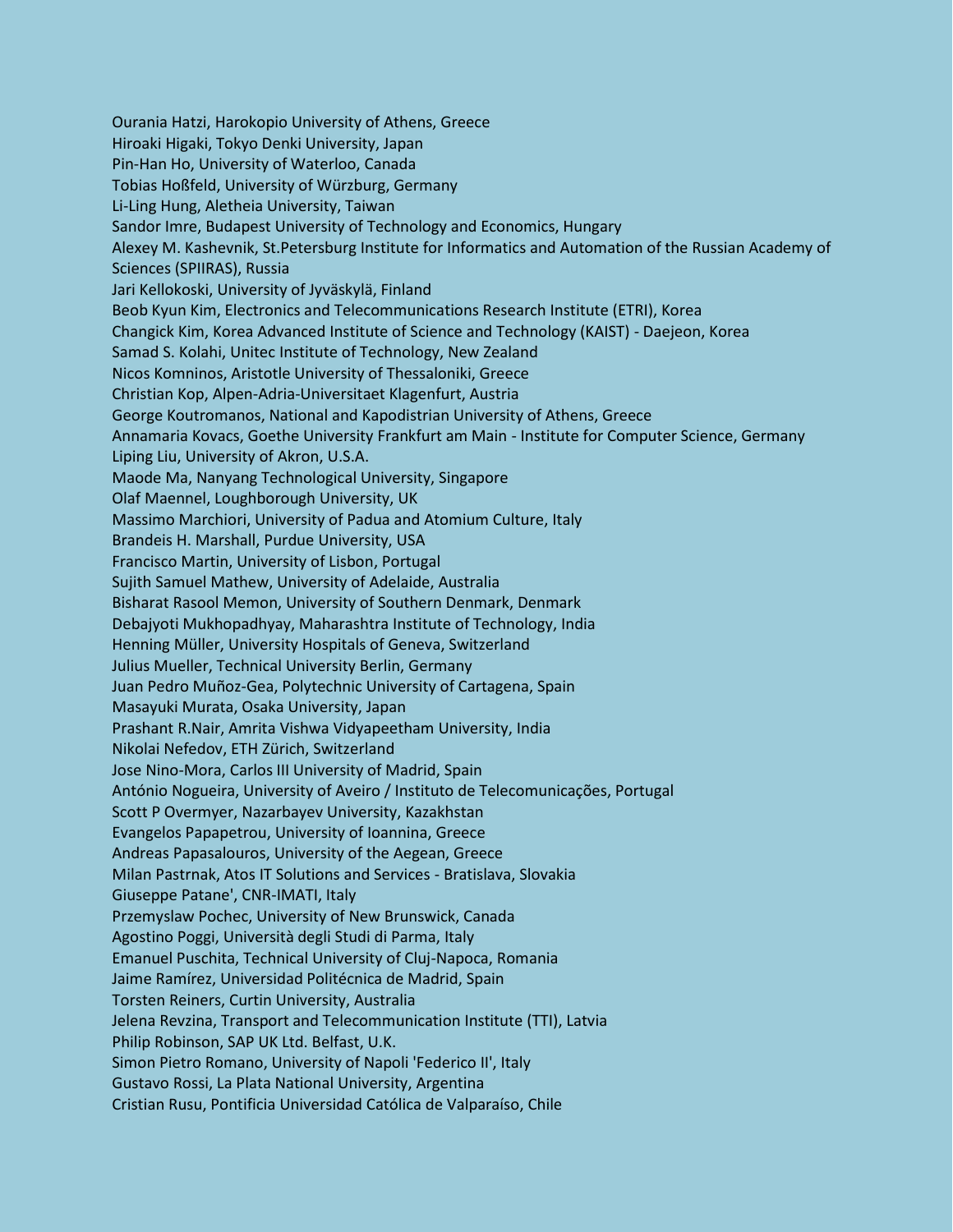Ourania Hatzi, Harokopio University of Athens, Greece Hiroaki Higaki, Tokyo Denki University, Japan Pin-Han Ho, University of Waterloo, Canada Tobias Hoßfeld, University of Würzburg, Germany Li-Ling Hung, Aletheia University, Taiwan Sandor Imre, Budapest University of Technology and Economics, Hungary Alexey M. Kashevnik, St.Petersburg Institute for Informatics and Automation of the Russian Academy of Sciences (SPIIRAS), Russia Jari Kellokoski, University of Jyväskylä, Finland Beob Kyun Kim, Electronics and Telecommunications Research Institute (ETRI), Korea Changick Kim, Korea Advanced Institute of Science and Technology (KAIST) - Daejeon, Korea Samad S. Kolahi, Unitec Institute of Technology, New Zealand Nicos Komninos, Aristotle University of Thessaloniki, Greece Christian Kop, Alpen-Adria-Universitaet Klagenfurt, Austria George Koutromanos, National and Kapodistrian University of Athens, Greece Annamaria Kovacs, Goethe University Frankfurt am Main - Institute for Computer Science, Germany Liping Liu, University of Akron, U.S.A. Maode Ma, Nanyang Technological University, Singapore Olaf Maennel, Loughborough University, UK Massimo Marchiori, University of Padua and Atomium Culture, Italy Brandeis H. Marshall, Purdue University, USA Francisco Martin, University of Lisbon, Portugal Sujith Samuel Mathew, University of Adelaide, Australia Bisharat Rasool Memon, University of Southern Denmark, Denmark Debajyoti Mukhopadhyay, Maharashtra Institute of Technology, India Henning Müller, University Hospitals of Geneva, Switzerland Julius Mueller, Technical University Berlin, Germany Juan Pedro Muñoz-Gea, Polytechnic University of Cartagena, Spain Masayuki Murata, Osaka University, Japan Prashant R.Nair, Amrita Vishwa Vidyapeetham University, India Nikolai Nefedov, ETH Zürich, Switzerland Jose Nino-Mora, Carlos III University of Madrid, Spain António Nogueira, University of Aveiro / Instituto de Telecomunicações, Portugal Scott P Overmyer, Nazarbayev University, Kazakhstan Evangelos Papapetrou, University of Ioannina, Greece Andreas Papasalouros, University of the Aegean, Greece Milan Pastrnak, Atos IT Solutions and Services - Bratislava, Slovakia Giuseppe Patane', CNR-IMATI, Italy Przemyslaw Pochec, University of New Brunswick, Canada Agostino Poggi, Università degli Studi di Parma, Italy Emanuel Puschita, Technical University of Cluj-Napoca, Romania Jaime Ramírez, Universidad Politécnica de Madrid, Spain Torsten Reiners, Curtin University, Australia Jelena Revzina, Transport and Telecommunication Institute (TTI), Latvia Philip Robinson, SAP UK Ltd. Belfast, U.K. Simon Pietro Romano, University of Napoli 'Federico II', Italy Gustavo Rossi, La Plata National University, Argentina Cristian Rusu, Pontificia Universidad Católica de Valparaíso, Chile